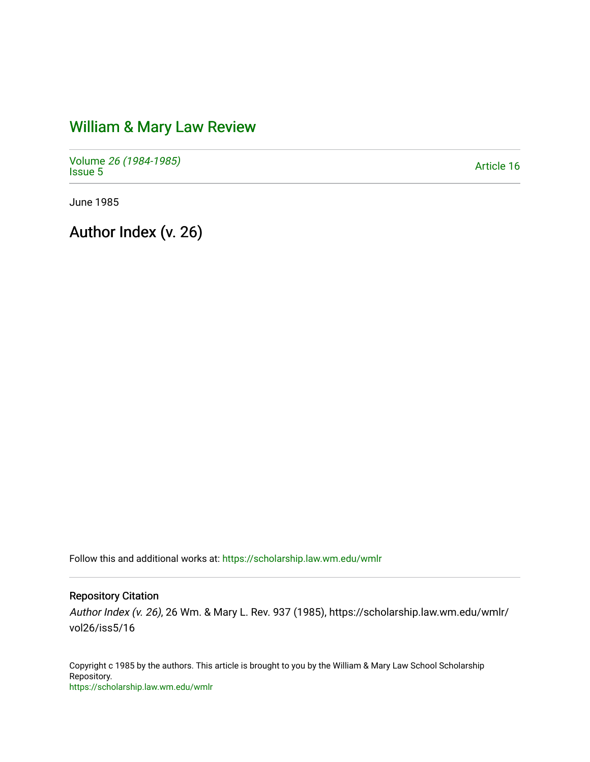## [William & Mary Law Review](https://scholarship.law.wm.edu/wmlr)

Volume [26 \(1984-1985\)](https://scholarship.law.wm.edu/wmlr/vol26)  Polarite 20 (1904-1900)<br>[Issue 5](https://scholarship.law.wm.edu/wmlr/vol26/iss5) Article 16

June 1985

Author Index (v. 26)

Follow this and additional works at: [https://scholarship.law.wm.edu/wmlr](https://scholarship.law.wm.edu/wmlr?utm_source=scholarship.law.wm.edu%2Fwmlr%2Fvol26%2Fiss5%2F16&utm_medium=PDF&utm_campaign=PDFCoverPages)

## Repository Citation

Author Index (v. 26), 26 Wm. & Mary L. Rev. 937 (1985), https://scholarship.law.wm.edu/wmlr/ vol26/iss5/16

Copyright c 1985 by the authors. This article is brought to you by the William & Mary Law School Scholarship Repository. <https://scholarship.law.wm.edu/wmlr>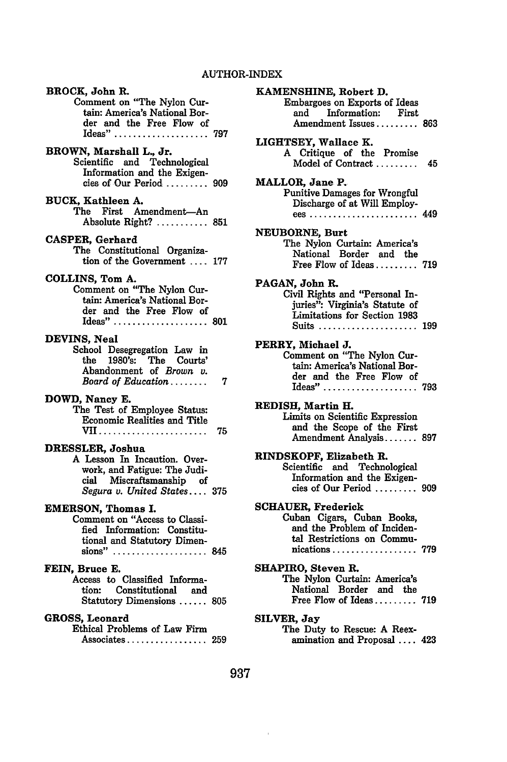| BROCK, John R.                                             |     | <b>KAMEN</b>  |
|------------------------------------------------------------|-----|---------------|
| Comment on "The Nylon Cur-                                 |     | En            |
| tain: America's National Bor-                              |     | ٤             |
| der and the Free Flow of<br>Ideas"                         | 797 | Ź             |
|                                                            |     | <b>LIGHTS</b> |
| BROWN, Marshall L., Jr.                                    |     | A             |
| Scientific and Technological                               |     | ī             |
| Information and the Exigen-                                |     |               |
| cies of Our Period  909                                    |     | <b>MALLO</b>  |
|                                                            |     | Pu            |
| BUCK, Kathleen A.<br>The First Amendment-An                |     | I             |
| Absolute Right?  851                                       |     | Ë             |
|                                                            |     | <b>NEUBO</b>  |
| CASPER, Gerhard                                            |     | Th            |
| The Constitutional Organiza-                               |     | I             |
| tion of the Government  177                                |     | I             |
| COLLINS, Tom A.                                            |     |               |
| Comment on "The Nylon Cur-                                 |     | PAGAN,        |
| tain: America's National Bor-                              |     | Civ           |
| der and the Free Flow of                                   |     | j             |
| Ideas"  801                                                |     | I<br>ś        |
|                                                            |     |               |
| DEVINS, Neal                                               |     | PERRY,        |
| School Desegregation Law in                                |     | $_{\rm Co1}$  |
| the 1980's: The Courts'                                    |     | t             |
| Abandonment of Brown v.                                    | 7   | ċ             |
| Board of Education                                         |     | I             |
| DOWD, Nancy E.                                             |     |               |
| The Test of Employee Status:                               |     | REDISE        |
| <b>Economic Realities and Title</b>                        |     | Lir<br>a      |
|                                                            | 75  | I             |
| DRESSLER, Joshua                                           |     |               |
| A Lesson In Incaution. Over-                               |     | <b>RINDSE</b> |
| work, and Fatigue: The Judi-                               |     | Sci           |
| cial Miscraftsmanship of                                   |     | I             |
| Segura v. United States 375                                |     | Ċ             |
|                                                            |     | <b>SCHAUI</b> |
| <b>EMERSON, Thomas I.</b><br>Comment on "Access to Classi- |     | Cul           |
| fied Information: Constitu-                                |     | a             |
| tional and Statutory Dimen-                                |     | t             |
| sions" $\dots\dots\dots\dots\dots\dots$ 845                |     | n             |
|                                                            |     |               |
| FEIN, Bruce E.                                             |     | <b>SHAPIR</b> |
| Access to Classified Informa-                              |     | Th            |
| tion: Constitutional and                                   |     | ľ             |
| Statutory Dimensions  805                                  |     | I             |
| GROSS, Leonard                                             |     | <b>SILVER</b> |
| Ethical Problems of Law Firm                               |     | Th            |
| Associates                                                 | 259 | я             |

**KBHINE, Robert D.** abargoes on Exports of Ideas<br>and Information: First Information: First Amendment Issues ......... **<sup>863</sup>** EY, Wallace **K. A** Critique of the Promise Model of Contract ......... 45 R, Jane P. nitive Damages for Wrongful Discharge of at **Will** Employees ....................... 449 **RNE, Burt** e Nylon Curtain: America's National Border and the Free Flow of Ideas ......... **<sup>719</sup>** John R. ril Rights and "Personal Inuries": Virginia's Statute of Limitations for Section **1983** Suits ..................... **<sup>199</sup>** Michael **J.** mment on "The Nylon Curtain: America's National Border and the Free Flow of Ideas" **..** ................. **793** , Martin H. nits on Scientific Expression and the Scope of the First Amendment Analysis **....... 897** KOPF, Elizabeth R. entific and Technological Information and the Exigencies of Our Period ......... **<sup>909</sup>** ER, Frederick Cuban Cigars, Cuban Books, and the Problem of Incidenal Restrictions on Communications .................. **<sup>779</sup> SHAPIRO,** Steven **R.** e Nylon Curtain: America's National Border and the Free Flow of Ideas ......... **<sup>719</sup> SILVER, Jay** The Duty to Rescue: **A** Reexamination and Proposal .... 423